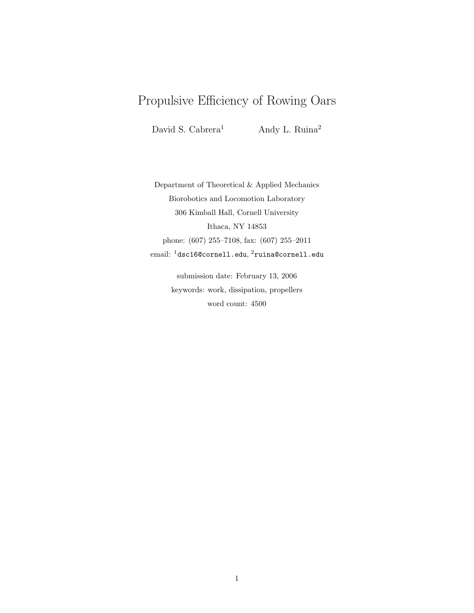# Propulsive Efficiency of Rowing Oars

David S. Cabrera<sup>1</sup> Andy L. Ruina<sup>2</sup>

Department of Theoretical & Applied Mechanics Biorobotics and Locomotion Laboratory 306 Kimball Hall, Cornell University Ithaca, NY 14853 phone: (607) 255–7108, fax: (607) 255–2011  $\,$ email:  $^{1}$ dsc16@cornell.edu, $^{2}$ ruina@cornell.edu

> submission date: February 13, 2006 keywords: work, dissipation, propellers word count: 4500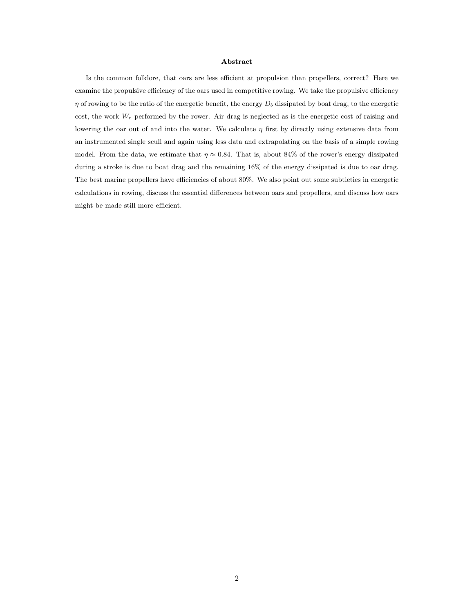#### Abstract

Is the common folklore, that oars are less efficient at propulsion than propellers, correct? Here we examine the propulsive efficiency of the oars used in competitive rowing. We take the propulsive efficiency  $\eta$  of rowing to be the ratio of the energetic benefit, the energy  $D_b$  dissipated by boat drag, to the energetic cost, the work  $W_r$  performed by the rower. Air drag is neglected as is the energetic cost of raising and lowering the oar out of and into the water. We calculate  $\eta$  first by directly using extensive data from an instrumented single scull and again using less data and extrapolating on the basis of a simple rowing model. From the data, we estimate that  $\eta \approx 0.84$ . That is, about 84% of the rower's energy dissipated during a stroke is due to boat drag and the remaining 16% of the energy dissipated is due to oar drag. The best marine propellers have efficiencies of about 80%. We also point out some subtleties in energetic calculations in rowing, discuss the essential differences between oars and propellers, and discuss how oars might be made still more efficient.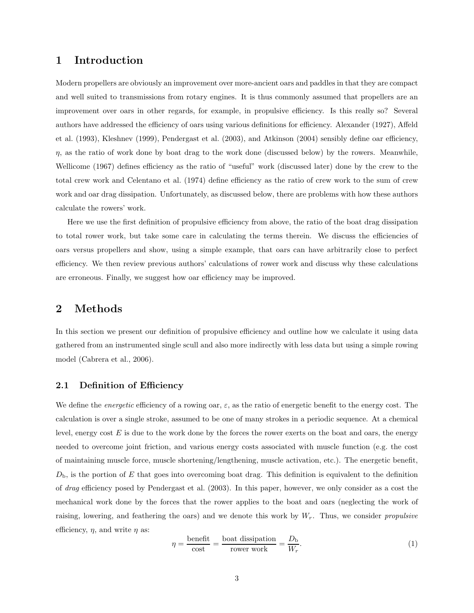# 1 Introduction

Modern propellers are obviously an improvement over more-ancient oars and paddles in that they are compact and well suited to transmissions from rotary engines. It is thus commonly assumed that propellers are an improvement over oars in other regards, for example, in propulsive efficiency. Is this really so? Several authors have addressed the efficiency of oars using various definitions for efficiency. Alexander (1927), Affeld et al. (1993), Kleshnev (1999), Pendergast et al. (2003), and Atkinson (2004) sensibly define oar efficiency,  $\eta$ , as the ratio of work done by boat drag to the work done (discussed below) by the rowers. Meanwhile, Wellicome (1967) defines efficiency as the ratio of "useful" work (discussed later) done by the crew to the total crew work and Celentano et al. (1974) define efficiency as the ratio of crew work to the sum of crew work and oar drag dissipation. Unfortunately, as discussed below, there are problems with how these authors calculate the rowers' work.

Here we use the first definition of propulsive efficiency from above, the ratio of the boat drag dissipation to total rower work, but take some care in calculating the terms therein. We discuss the efficiencies of oars versus propellers and show, using a simple example, that oars can have arbitrarily close to perfect efficiency. We then review previous authors' calculations of rower work and discuss why these calculations are erroneous. Finally, we suggest how oar efficiency may be improved.

# 2 Methods

In this section we present our definition of propulsive efficiency and outline how we calculate it using data gathered from an instrumented single scull and also more indirectly with less data but using a simple rowing model (Cabrera et al., 2006).

### 2.1 Definition of Efficiency

We define the *energetic* efficiency of a rowing oar,  $\varepsilon$ , as the ratio of energetic benefit to the energy cost. The calculation is over a single stroke, assumed to be one of many strokes in a periodic sequence. At a chemical level, energy cost  $E$  is due to the work done by the forces the rower exerts on the boat and oars, the energy needed to overcome joint friction, and various energy costs associated with muscle function (e.g. the cost of maintaining muscle force, muscle shortening/lengthening, muscle activation, etc.). The energetic benefit,  $D_{\rm b}$ , is the portion of E that goes into overcoming boat drag. This definition is equivalent to the definition of drag efficiency posed by Pendergast et al. (2003). In this paper, however, we only consider as a cost the mechanical work done by the forces that the rower applies to the boat and oars (neglecting the work of raising, lowering, and feathering the oars) and we denote this work by  $W_r$ . Thus, we consider propulsive efficiency,  $\eta$ , and write  $\eta$  as:

$$
\eta = \frac{\text{benéfit}}{\text{cost}} = \frac{\text{boat dissipation}}{\text{rower work}} = \frac{D_{\text{b}}}{W_r}.\tag{1}
$$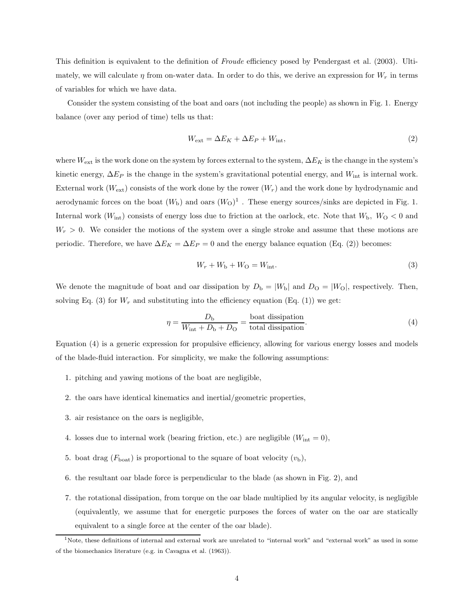This definition is equivalent to the definition of Froude efficiency posed by Pendergast et al. (2003). Ultimately, we will calculate  $\eta$  from on-water data. In order to do this, we derive an expression for  $W_r$  in terms of variables for which we have data.

Consider the system consisting of the boat and oars (not including the people) as shown in Fig. 1. Energy balance (over any period of time) tells us that:

$$
W_{\text{ext}} = \Delta E_K + \Delta E_P + W_{\text{int}},\tag{2}
$$

where  $W_{\text{ext}}$  is the work done on the system by forces external to the system,  $\Delta E_K$  is the change in the system's kinetic energy,  $\Delta E_P$  is the change in the system's gravitational potential energy, and  $W_{\text{int}}$  is internal work. External work ( $W_{\text{ext}}$ ) consists of the work done by the rower  $(W_r)$  and the work done by hydrodynamic and aerodynamic forces on the boat  $(W<sub>b</sub>)$  and oars  $(W<sub>O</sub>)<sup>1</sup>$ . These energy sources/sinks are depicted in Fig. 1. Internal work  $(W_{int})$  consists of energy loss due to friction at the oarlock, etc. Note that  $W_{b}$ ,  $W_{O} < 0$  and  $W_r > 0$ . We consider the motions of the system over a single stroke and assume that these motions are periodic. Therefore, we have  $\Delta E_K = \Delta E_P = 0$  and the energy balance equation (Eq. (2)) becomes:

$$
W_r + W_b + W_O = W_{\text{int}}.\t\t(3)
$$

We denote the magnitude of boat and oar dissipation by  $D_{\rm b} = |W_{\rm b}|$  and  $D_{\rm O} = |W_{\rm O}|$ , respectively. Then, solving Eq. (3) for  $W_r$  and substituting into the efficiency equation (Eq. (1)) we get:

$$
\eta = \frac{D_{\rm b}}{W_{\rm int} + D_{\rm b} + D_{\rm O}} = \frac{\text{boat dissipation}}{\text{total dissipation}}.\tag{4}
$$

Equation (4) is a generic expression for propulsive efficiency, allowing for various energy losses and models of the blade-fluid interaction. For simplicity, we make the following assumptions:

- 1. pitching and yawing motions of the boat are negligible,
- 2. the oars have identical kinematics and inertial/geometric properties,
- 3. air resistance on the oars is negligible,
- 4. losses due to internal work (bearing friction, etc.) are negligible  $(W_{int} = 0)$ ,
- 5. boat drag ( $F_{\text{boat}}$ ) is proportional to the square of boat velocity  $(v_{\text{b}})$ ,
- 6. the resultant oar blade force is perpendicular to the blade (as shown in Fig. 2), and
- 7. the rotational dissipation, from torque on the oar blade multiplied by its angular velocity, is negligible (equivalently, we assume that for energetic purposes the forces of water on the oar are statically equivalent to a single force at the center of the oar blade).

<sup>&</sup>lt;sup>1</sup>Note, these definitions of internal and external work are unrelated to "internal work" and "external work" as used in some of the biomechanics literature (e.g. in Cavagna et al. (1963)).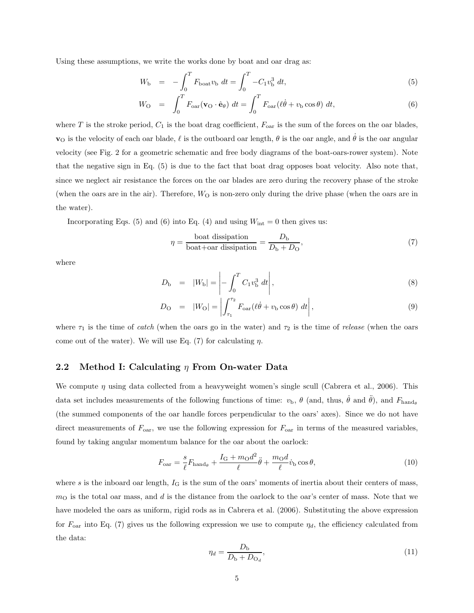Using these assumptions, we write the works done by boat and oar drag as:

$$
W_{\rm b} = -\int_0^T F_{\rm boat} v_{\rm b} \, dt = \int_0^T -C_1 v_{\rm b}^3 \, dt,\tag{5}
$$

$$
W_{\rm O} = \int_0^T F_{\rm oar}(\mathbf{v}_{\rm O} \cdot \hat{\mathbf{e}}_{\theta}) dt = \int_0^T F_{\rm oar}(\ell \dot{\theta} + v_{\rm D} \cos \theta) dt, \tag{6}
$$

where T is the stroke period,  $C_1$  is the boat drag coefficient,  $F_{\text{oar}}$  is the sum of the forces on the oar blades,  $\mathbf{v}_0$  is the velocity of each oar blade,  $\ell$  is the outboard oar length,  $\theta$  is the oar angle, and  $\dot{\theta}$  is the oar angular velocity (see Fig. 2 for a geometric schematic and free body diagrams of the boat-oars-rower system). Note that the negative sign in Eq. (5) is due to the fact that boat drag opposes boat velocity. Also note that, since we neglect air resistance the forces on the oar blades are zero during the recovery phase of the stroke (when the oars are in the air). Therefore,  $W<sub>O</sub>$  is non-zero only during the drive phase (when the oars are in the water).

Incorporating Eqs. (5) and (6) into Eq. (4) and using  $W_{\text{int}} = 0$  then gives us:

$$
\eta = \frac{\text{boat dissipation}}{\text{boat} + \text{oar dissipation}} = \frac{D_{\text{b}}}{D_{\text{b}} + D_{\text{O}}},\tag{7}
$$

where

$$
D_{\rm b} = |W_{\rm b}| = \left| - \int_0^T C_1 v_{\rm b}^3 \, dt \right|,\tag{8}
$$

$$
D_{\rm O} = |W_{\rm O}| = \left| \int_{\tau_1}^{\tau_2} F_{\rm oar}(\ell \dot{\theta} + v_{\rm b} \cos \theta) dt \right|, \tag{9}
$$

where  $\tau_1$  is the time of catch (when the oars go in the water) and  $\tau_2$  is the time of release (when the oars come out of the water). We will use Eq. (7) for calculating  $\eta$ .

### 2.2 Method I: Calculating  $\eta$  From On-water Data

We compute  $\eta$  using data collected from a heavyweight women's single scull (Cabrera et al., 2006). This data set includes measurements of the following functions of time:  $v_{\rm b}$ ,  $\theta$  (and, thus,  $\dot{\theta}$  and  $\ddot{\theta}$ ), and  $F_{\rm hand}$ (the summed components of the oar handle forces perpendicular to the oars' axes). Since we do not have direct measurements of  $F_{\text{oar}}$ , we use the following expression for  $F_{\text{oar}}$  in terms of the measured variables, found by taking angular momentum balance for the oar about the oarlock:

$$
F_{\text{oar}} = \frac{s}{\ell} F_{\text{hand}_{\theta}} + \frac{I_{\text{G}} + m_{\text{O}} d^2}{\ell} \ddot{\theta} + \frac{m_{\text{O}} d}{\ell} \dot{v}_{\text{b}} \cos \theta, \tag{10}
$$

where s is the inboard oar length,  $I_G$  is the sum of the oars' moments of inertia about their centers of mass,  $m<sub>O</sub>$  is the total oar mass, and d is the distance from the oarlock to the oar's center of mass. Note that we have modeled the oars as uniform, rigid rods as in Cabrera et al. (2006). Substituting the above expression for  $F_{\text{oar}}$  into Eq. (7) gives us the following expression we use to compute  $\eta_d$ , the efficiency calculated from the data:

$$
\eta_d = \frac{D_{\rm b}}{D_{\rm b} + D_{\rm O_d}},\tag{11}
$$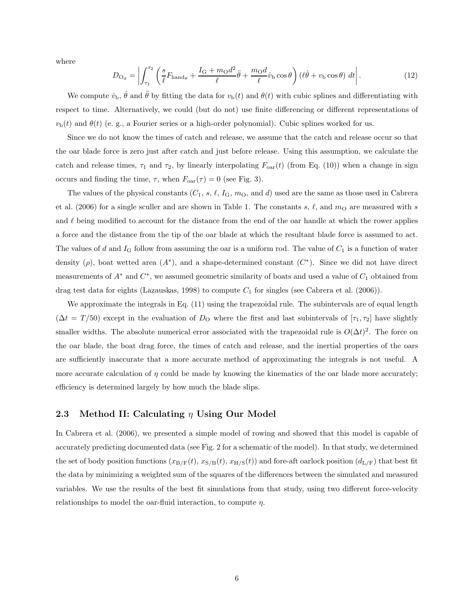where

$$
D_{\mathcal{O}_d} = \left| \int_{\tau_1}^{\tau_2} \left( \frac{s}{\ell} F_{\text{hand}_{\theta}} + \frac{I_{\mathcal{G}} + m_{\mathcal{O}} d^2}{\ell} \ddot{\theta} + \frac{m_{\mathcal{O}} d}{\ell} \dot{v}_{\text{b}} \cos \theta \right) (\ell \dot{\theta} + v_{\text{b}} \cos \theta) dt \right|.
$$
 (12)

We compute  $\dot{v}_{\rm b}$ ,  $\dot{\theta}$  and  $\ddot{\theta}$  by fitting the data for  $v_{\rm b}(t)$  and  $\theta(t)$  with cubic splines and differentiating with respect to time. Alternatively, we could (but do not) use finite differencing or different representations of  $v<sub>b</sub>(t)$  and  $\theta(t)$  (e. g., a Fourier series or a high-order polynomial). Cubic splines worked for us.

Since we do not know the times of catch and release, we assume that the catch and release occur so that the oar blade force is zero just after catch and just before release. Using this assumption, we calculate the catch and release times,  $\tau_1$  and  $\tau_2$ , by linearly interpolating  $F_{\text{oar}}(t)$  (from Eq. (10)) when a change in sign occurs and finding the time,  $\tau$ , when  $F_{\text{oar}}(\tau) = 0$  (see Fig. 3).

The values of the physical constants  $(C_1, s, \ell, I_G, m_O, \text{and } d)$  used are the same as those used in Cabrera et al. (2006) for a single sculler and are shown in Table 1. The constants s,  $\ell$ , and  $m<sub>O</sub>$  are measured with s and  $\ell$  being modified to account for the distance from the end of the oar handle at which the rower applies a force and the distance from the tip of the oar blade at which the resultant blade force is assumed to act. The values of d and  $I_G$  follow from assuming the oar is a uniform rod. The value of  $C_1$  is a function of water density ( $\rho$ ), boat wetted area  $(A^*)$ , and a shape-determined constant  $(C^*)$ . Since we did not have direct measurements of  $A^*$  and  $C^*$ , we assumed geometric similarity of boats and used a value of  $C_1$  obtained from drag test data for eights (Lazauskas, 1998) to compute  $C_1$  for singles (see Cabrera et al. (2006)).

We approximate the integrals in Eq.  $(11)$  using the trapezoidal rule. The subintervals are of equal length  $(\Delta t = T/50)$  except in the evaluation of  $D_0$  where the first and last subintervals of  $[\tau_1, \tau_2]$  have slightly smaller widths. The absolute numerical error associated with the trapezoidal rule is  $O(\Delta t)^2$ . The force on the oar blade, the boat drag force, the times of catch and release, and the inertial properties of the oars are sufficiently inaccurate that a more accurate method of approximating the integrals is not useful. A more accurate calculation of  $\eta$  could be made by knowing the kinematics of the oar blade more accurately; efficiency is determined largely by how much the blade slips.

#### 2.3 Method II: Calculating  $\eta$  Using Our Model

In Cabrera et al. (2006), we presented a simple model of rowing and showed that this model is capable of accurately predicting documented data (see Fig. 2 for a schematic of the model). In that study, we determined the set of body position functions  $(x_{\text{B/F}}(t), x_{\text{S/B}}(t), x_{\text{H/S}}(t))$  and fore-aft oarlock position  $(d_{\text{L/F}})$  that best fit the data by minimizing a weighted sum of the squares of the differences between the simulated and measured variables. We use the results of the best fit simulations from that study, using two different force-velocity relationships to model the oar-fluid interaction, to compute  $\eta$ .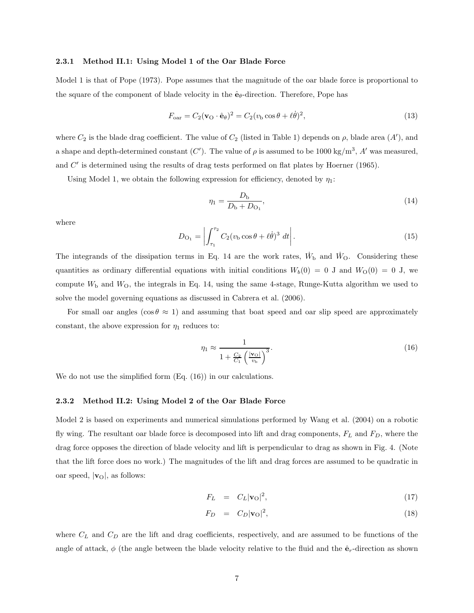#### 2.3.1 Method II.1: Using Model 1 of the Oar Blade Force

Model 1 is that of Pope (1973). Pope assumes that the magnitude of the oar blade force is proportional to the square of the component of blade velocity in the  $\hat{\mathbf{e}}_{\theta}$ -direction. Therefore, Pope has

$$
F_{\text{oar}} = C_2 (\mathbf{v}_0 \cdot \hat{\mathbf{e}}_{\theta})^2 = C_2 (v_b \cos \theta + \ell \dot{\theta})^2, \tag{13}
$$

where  $C_2$  is the blade drag coefficient. The value of  $C_2$  (listed in Table 1) depends on  $\rho$ , blade area  $(A')$ , and a shape and depth-determined constant (C'). The value of  $\rho$  is assumed to be 1000 kg/m<sup>3</sup>, A' was measured, and C' is determined using the results of drag tests performed on flat plates by Hoerner (1965).

Using Model 1, we obtain the following expression for efficiency, denoted by  $\eta_1$ :

$$
\eta_1 = \frac{D_{\rm b}}{D_{\rm b} + D_{\rm O_1}},\tag{14}
$$

where

$$
D_{\mathcal{O}_1} = \left| \int_{\tau_1}^{\tau_2} C_2(v_{\mathcal{b}} \cos \theta + \ell \dot{\theta})^3 \, dt \right|.
$$
 (15)

The integrands of the dissipation terms in Eq. 14 are the work rates,  $\dot{W}_{\text{b}}$  and  $\dot{W}_{\text{O}}$ . Considering these quantities as ordinary differential equations with initial conditions  $W_b(0) = 0$  J and  $W_0(0) = 0$  J, we compute  $W<sub>b</sub>$  and  $W<sub>O</sub>$ , the integrals in Eq. 14, using the same 4-stage, Runge-Kutta algorithm we used to solve the model governing equations as discussed in Cabrera et al. (2006).

For small oar angles ( $\cos \theta \approx 1$ ) and assuming that boat speed and oar slip speed are approximately constant, the above expression for  $\eta_1$  reduces to:

$$
\eta_1 \approx \frac{1}{1 + \frac{C_2}{C_1} \left(\frac{|\mathbf{v}_0|}{v_\mathbf{b}}\right)^3}.
$$
\n(16)

We do not use the simplified form  $(Eq. (16))$  in our calculations.

#### 2.3.2 Method II.2: Using Model 2 of the Oar Blade Force

Model 2 is based on experiments and numerical simulations performed by Wang et al. (2004) on a robotic fly wing. The resultant oar blade force is decomposed into lift and drag components,  $F<sub>L</sub>$  and  $F<sub>D</sub>$ , where the drag force opposes the direction of blade velocity and lift is perpendicular to drag as shown in Fig. 4. (Note that the lift force does no work.) The magnitudes of the lift and drag forces are assumed to be quadratic in oar speed,  $|v_{\text{O}}|$ , as follows:

$$
F_L = C_L |\mathbf{v}_0|^2, \tag{17}
$$

$$
F_D = C_D |\mathbf{v}_O|^2, \tag{18}
$$

where  $C_L$  and  $C_D$  are the lift and drag coefficients, respectively, and are assumed to be functions of the angle of attack,  $\phi$  (the angle between the blade velocity relative to the fluid and the  $\hat{\mathbf{e}}_r$ -direction as shown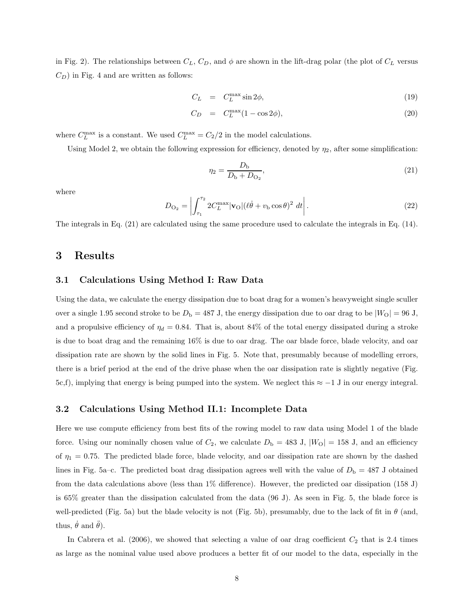in Fig. 2). The relationships between  $C_L$ ,  $C_D$ , and  $\phi$  are shown in the lift-drag polar (the plot of  $C_L$  versus  $C_D$ ) in Fig. 4 and are written as follows:

$$
C_L = C_L^{\max} \sin 2\phi, \tag{19}
$$

$$
C_D = C_L^{\max}(1 - \cos 2\phi), \qquad (20)
$$

where  $C_L^{\text{max}}$  is a constant. We used  $C_L^{\text{max}} = C_2/2$  in the model calculations.

Using Model 2, we obtain the following expression for efficiency, denoted by  $\eta_2$ , after some simplification:

$$
\eta_2 = \frac{D_{\rm b}}{D_{\rm b} + D_{\rm O_2}},\tag{21}
$$

where

$$
D_{\mathcal{O}_2} = \left| \int_{\tau_1}^{\tau_2} 2C_L^{\max} |\mathbf{v}_\mathcal{O}| (\ell \dot{\theta} + v_\mathcal{D} \cos \theta)^2 dt \right|.
$$
 (22)

The integrals in Eq. (21) are calculated using the same procedure used to calculate the integrals in Eq. (14).

# 3 Results

### 3.1 Calculations Using Method I: Raw Data

Using the data, we calculate the energy dissipation due to boat drag for a women's heavyweight single sculler over a single 1.95 second stroke to be  $D_b = 487$  J, the energy dissipation due to oar drag to be  $|W_O| = 96$  J, and a propulsive efficiency of  $\eta_d = 0.84$ . That is, about 84% of the total energy dissipated during a stroke is due to boat drag and the remaining 16% is due to oar drag. The oar blade force, blade velocity, and oar dissipation rate are shown by the solid lines in Fig. 5. Note that, presumably because of modelling errors, there is a brief period at the end of the drive phase when the oar dissipation rate is slightly negative (Fig. 5c,f), implying that energy is being pumped into the system. We neglect this  $\approx -1$  J in our energy integral.

#### 3.2 Calculations Using Method II.1: Incomplete Data

Here we use compute efficiency from best fits of the rowing model to raw data using Model 1 of the blade force. Using our nominally chosen value of  $C_2$ , we calculate  $D<sub>b</sub> = 483$  J,  $|W<sub>O</sub>| = 158$  J, and an efficiency of  $\eta_1 = 0.75$ . The predicted blade force, blade velocity, and oar dissipation rate are shown by the dashed lines in Fig. 5a–c. The predicted boat drag dissipation agrees well with the value of  $D_{\rm b} = 487$  J obtained from the data calculations above (less than 1% difference). However, the predicted oar dissipation (158 J) is 65% greater than the dissipation calculated from the data (96 J). As seen in Fig. 5, the blade force is well-predicted (Fig. 5a) but the blade velocity is not (Fig. 5b), presumably, due to the lack of fit in  $\theta$  (and, thus,  $\dot{\theta}$  and  $\ddot{\theta}$ ).

In Cabrera et al. (2006), we showed that selecting a value of oar drag coefficient  $C_2$  that is 2.4 times as large as the nominal value used above produces a better fit of our model to the data, especially in the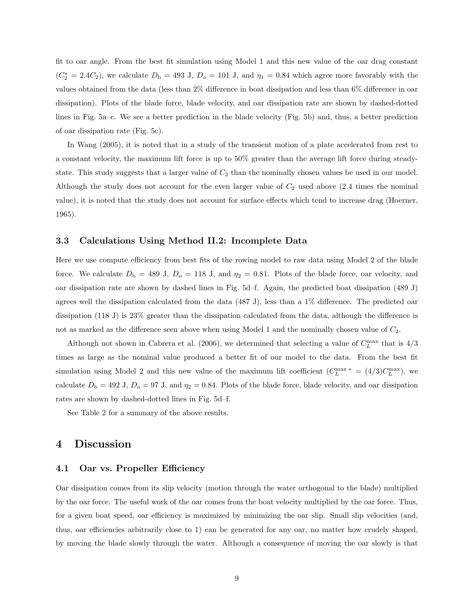fit to oar angle. From the best fit simulation using Model 1 and this new value of the oar drag constant  $(C_2^* = 2.4C_2)$ , we calculate  $D_b = 493$  J,  $D_o = 101$  J, and  $\eta_1 = 0.84$  which agree more favorably with the values obtained from the data (less than 2% difference in boat dissipation and less than 6% difference in oar dissipation). Plots of the blade force, blade velocity, and oar dissipation rate are shown by dashed-dotted lines in Fig. 5a–c. We see a better prediction in the blade velocity (Fig. 5b) and, thus, a better prediction of oar dissipation rate (Fig. 5c).

In Wang (2005), it is noted that in a study of the transient motion of a plate accelerated from rest to a constant velocity, the maximum lift force is up to 50% greater than the average lift force during steadystate. This study suggests that a larger value of  $C_2$  than the nominally chosen values be used in our model. Although the study does not account for the even larger value of  $C_2$  used above (2.4 times the nominal value), it is noted that the study does not account for surface effects which tend to increase drag (Hoerner, 1965).

#### 3.3 Calculations Using Method II.2: Incomplete Data

Here we use compute efficiency from best fits of the rowing model to raw data using Model 2 of the blade force. We calculate  $D_b = 489$  J,  $D_o = 118$  J, and  $\eta_2 = 0.81$ . Plots of the blade force, oar velocity, and oar dissipation rate are shown by dashed lines in Fig. 5d–f. Again, the predicted boat dissipation (489 J) agrees well the dissipation calculated from the data (487 J), less than a 1% difference. The predicted oar dissipation (118 J) is 23% greater than the dissipation calculated from the data, although the difference is not as marked as the difference seen above when using Model 1 and the nominally chosen value of  $C_2$ .

Although not shown in Cabrera et al. (2006), we determined that selecting a value of  $C_L^{\text{max}}$  that is  $4/3$ times as large as the nominal value produced a better fit of our model to the data. From the best fit simulation using Model 2 and this new value of the maximum lift coefficient  $(C_L^{\max *} = (4/3)C_L^{\max}$ , we calculate  $D_{\rm b} = 492$  J,  $D_{\rm o} = 97$  J, and  $\eta_2 = 0.84$ . Plots of the blade force, blade velocity, and oar dissipation rates are shown by dashed-dotted lines in Fig. 5d–f.

See Table 2 for a summary of the above results.

# 4 Discussion

#### 4.1 Oar vs. Propeller Efficiency

Oar dissipation comes from its slip velocity (motion through the water orthogonal to the blade) multiplied by the oar force. The useful work of the oar comes from the boat velocity multiplied by the oar force. Thus, for a given boat speed, oar efficiency is maximized by minimizing the oar slip. Small slip velocities (and, thus, oar efficiencies arbitrarily close to 1) can be generated for any oar, no matter how crudely shaped, by moving the blade slowly through the water. Although a consequence of moving the oar slowly is that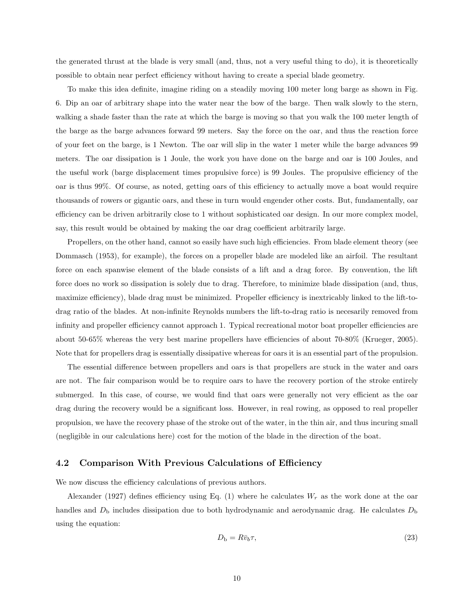the generated thrust at the blade is very small (and, thus, not a very useful thing to do), it is theoretically possible to obtain near perfect efficiency without having to create a special blade geometry.

To make this idea definite, imagine riding on a steadily moving 100 meter long barge as shown in Fig. 6. Dip an oar of arbitrary shape into the water near the bow of the barge. Then walk slowly to the stern, walking a shade faster than the rate at which the barge is moving so that you walk the 100 meter length of the barge as the barge advances forward 99 meters. Say the force on the oar, and thus the reaction force of your feet on the barge, is 1 Newton. The oar will slip in the water 1 meter while the barge advances 99 meters. The oar dissipation is 1 Joule, the work you have done on the barge and oar is 100 Joules, and the useful work (barge displacement times propulsive force) is 99 Joules. The propulsive efficiency of the oar is thus 99%. Of course, as noted, getting oars of this efficiency to actually move a boat would require thousands of rowers or gigantic oars, and these in turn would engender other costs. But, fundamentally, oar efficiency can be driven arbitrarily close to 1 without sophisticated oar design. In our more complex model, say, this result would be obtained by making the oar drag coefficient arbitrarily large.

Propellers, on the other hand, cannot so easily have such high efficiencies. From blade element theory (see Dommasch (1953), for example), the forces on a propeller blade are modeled like an airfoil. The resultant force on each spanwise element of the blade consists of a lift and a drag force. By convention, the lift force does no work so dissipation is solely due to drag. Therefore, to minimize blade dissipation (and, thus, maximize efficiency), blade drag must be minimized. Propeller efficiency is inextricably linked to the lift-todrag ratio of the blades. At non-infinite Reynolds numbers the lift-to-drag ratio is necesarily removed from infinity and propeller efficiency cannot approach 1. Typical recreational motor boat propeller efficiencies are about 50-65% whereas the very best marine propellers have efficiencies of about 70-80% (Krueger, 2005). Note that for propellers drag is essentially dissipative whereas for oars it is an essential part of the propulsion.

The essential difference between propellers and oars is that propellers are stuck in the water and oars are not. The fair comparison would be to require oars to have the recovery portion of the stroke entirely submerged. In this case, of course, we would find that oars were generally not very efficient as the oar drag during the recovery would be a significant loss. However, in real rowing, as opposed to real propeller propulsion, we have the recovery phase of the stroke out of the water, in the thin air, and thus incuring small (negligible in our calculations here) cost for the motion of the blade in the direction of the boat.

#### 4.2 Comparison With Previous Calculations of Efficiency

We now discuss the efficiency calculations of previous authors.

Alexander (1927) defines efficiency using Eq. (1) where he calculates  $W_r$  as the work done at the oar handles and  $D<sub>b</sub>$  includes dissipation due to both hydrodynamic and aerodynamic drag. He calculates  $D<sub>b</sub>$ using the equation:

$$
D_{\rm b} = R\bar{v}_b \tau,\tag{23}
$$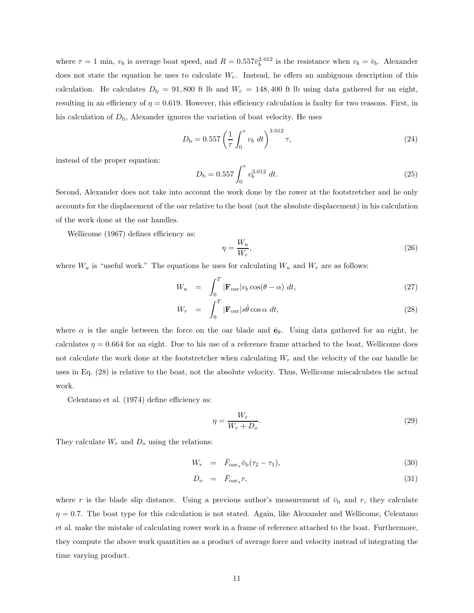where  $\tau = 1$  min,  $v_b$  is average boat speed, and  $R = 0.557\bar{v}_b^{2.012}$  is the resistance when  $v_b = \bar{v}_b$ . Alexander does not state the equation he uses to calculate  $W_r$ . Instead, he offers an ambiguous description of this calculation. He calculates  $D_{\rm b} = 91,800$  ft lb and  $W_r = 148,400$  ft lb using data gathered for an eight, resulting in an efficiency of  $\eta = 0.619$ . However, this efficiency calculation is faulty for two reasons. First, in his calculation of  $D_{\rm b}$ , Alexander ignores the variation of boat velocity. He uses

$$
D_{\rm b} = 0.557 \left(\frac{1}{\tau} \int_0^{\tau} v_b \ dt\right)^{3.012} \tau,
$$
\n(24)

instead of the proper equation:

$$
D_{\rm b} = 0.557 \int_0^\tau v_b^{3.012} dt.
$$
 (25)

Second, Alexander does not take into account the work done by the rower at the footstretcher and he only accounts for the displacement of the oar relative to the boat (not the absolute displacement) in his calculation of the work done at the oar handles.

Wellicome (1967) defines efficiency as:

$$
\eta = \frac{W_u}{W_r},\tag{26}
$$

where  $W_u$  is "useful work." The equations he uses for calculating  $W_u$  and  $W_r$  are as follows:

$$
W_u = \int_0^T |\mathbf{F}_{\text{oa}}| v_b \cos(\theta - \alpha) dt,
$$
\n(27)

$$
W_r = \int_0^T |\mathbf{F}_{\text{oa}r}| s\dot{\theta} \cos \alpha \, dt,\tag{28}
$$

where  $\alpha$  is the angle between the force on the oar blade and  $\hat{\mathbf{e}}_{\theta}$ . Using data gathered for an eight, he calculates  $\eta = 0.664$  for an eight. Due to his use of a reference frame attached to the boat, Wellicome does not calculate the work done at the footstretcher when calculating  $W_r$  and the velocity of the oar handle he uses in Eq. (28) is relative to the boat, not the absolute velocity. Thus, Wellicome miscalculates the actual work.

Celentano et al. (1974) define efficiency as:

$$
\eta = \frac{W_r}{W_r + D_o}.\tag{29}
$$

They calculate  $W_r$  and  $D_o$  using the relations:

$$
W_r = \bar{F}_{\text{oar}_x} \bar{v}_b (\tau_2 - \tau_1), \tag{30}
$$

$$
D_o = \bar{F}_{\text{oar}_x} r,\tag{31}
$$

where r is the blade slip distance. Using a previous author's measurement of  $\bar{v}_{\rm b}$  and r, they calculate  $\eta = 0.7$ . The boat type for this calculation is not stated. Again, like Alexander and Wellicome, Celentano et al. make the mistake of calculating rower work in a frame of reference attached to the boat. Furthermore, they compute the above work quantities as a product of average force and velocity instead of integrating the time varying product.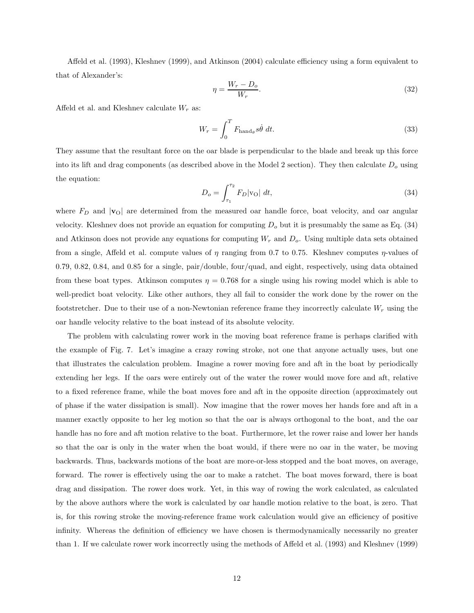Affeld et al. (1993), Kleshnev (1999), and Atkinson (2004) calculate efficiency using a form equivalent to that of Alexander's:

$$
\eta = \frac{W_r - D_o}{W_r}.\tag{32}
$$

Affeld et al. and Kleshnev calculate  $W_r$  as:

$$
W_r = \int_0^T F_{\text{hand}\theta} s\dot{\theta} dt.
$$
 (33)

They assume that the resultant force on the oar blade is perpendicular to the blade and break up this force into its lift and drag components (as described above in the Model 2 section). They then calculate  $D<sub>o</sub>$  using the equation:

$$
D_o = \int_{\tau_1}^{\tau_2} F_D |\mathbf{v}_O| \, dt,\tag{34}
$$

where  $F_D$  and  $|v_O|$  are determined from the measured oar handle force, boat velocity, and oar angular velocity. Kleshnev does not provide an equation for computing  $D<sub>o</sub>$  but it is presumably the same as Eq. (34) and Atkinson does not provide any equations for computing  $W_r$  and  $D_o$ . Using multiple data sets obtained from a single, Affeld et al. compute values of  $\eta$  ranging from 0.7 to 0.75. Kleshnev computes  $\eta$ -values of 0.79, 0.82, 0.84, and 0.85 for a single, pair/double, four/quad, and eight, respectively, using data obtained from these boat types. Atkinson computes  $\eta = 0.768$  for a single using his rowing model which is able to well-predict boat velocity. Like other authors, they all fail to consider the work done by the rower on the footstretcher. Due to their use of a non-Newtonian reference frame they incorrectly calculate  $W_r$  using the oar handle velocity relative to the boat instead of its absolute velocity.

The problem with calculating rower work in the moving boat reference frame is perhaps clarified with the example of Fig. 7. Let's imagine a crazy rowing stroke, not one that anyone actually uses, but one that illustrates the calculation problem. Imagine a rower moving fore and aft in the boat by periodically extending her legs. If the oars were entirely out of the water the rower would move fore and aft, relative to a fixed reference frame, while the boat moves fore and aft in the opposite direction (approximately out of phase if the water dissipation is small). Now imagine that the rower moves her hands fore and aft in a manner exactly opposite to her leg motion so that the oar is always orthogonal to the boat, and the oar handle has no fore and aft motion relative to the boat. Furthermore, let the rower raise and lower her hands so that the oar is only in the water when the boat would, if there were no oar in the water, be moving backwards. Thus, backwards motions of the boat are more-or-less stopped and the boat moves, on average, forward. The rower is effectively using the oar to make a ratchet. The boat moves forward, there is boat drag and dissipation. The rower does work. Yet, in this way of rowing the work calculated, as calculated by the above authors where the work is calculated by oar handle motion relative to the boat, is zero. That is, for this rowing stroke the moving-reference frame work calculation would give an efficiency of positive infinity. Whereas the definition of efficiency we have chosen is thermodynamically necessarily no greater than 1. If we calculate rower work incorrectly using the methods of Affeld et al. (1993) and Kleshnev (1999)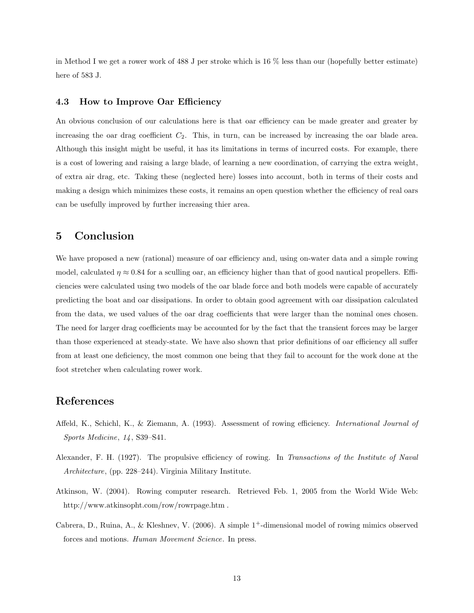in Method I we get a rower work of 488 J per stroke which is 16 % less than our (hopefully better estimate) here of 583 J.

#### 4.3 How to Improve Oar Efficiency

An obvious conclusion of our calculations here is that oar efficiency can be made greater and greater by increasing the oar drag coefficient  $C_2$ . This, in turn, can be increased by increasing the oar blade area. Although this insight might be useful, it has its limitations in terms of incurred costs. For example, there is a cost of lowering and raising a large blade, of learning a new coordination, of carrying the extra weight, of extra air drag, etc. Taking these (neglected here) losses into account, both in terms of their costs and making a design which minimizes these costs, it remains an open question whether the efficiency of real oars can be usefully improved by further increasing thier area.

# 5 Conclusion

We have proposed a new (rational) measure of oar efficiency and, using on-water data and a simple rowing model, calculated  $\eta \approx 0.84$  for a sculling oar, an efficiency higher than that of good nautical propellers. Efficiencies were calculated using two models of the oar blade force and both models were capable of accurately predicting the boat and oar dissipations. In order to obtain good agreement with oar dissipation calculated from the data, we used values of the oar drag coefficients that were larger than the nominal ones chosen. The need for larger drag coefficients may be accounted for by the fact that the transient forces may be larger than those experienced at steady-state. We have also shown that prior definitions of oar efficiency all suffer from at least one deficiency, the most common one being that they fail to account for the work done at the foot stretcher when calculating rower work.

# References

- Affeld, K., Schichl, K., & Ziemann, A. (1993). Assessment of rowing efficiency. International Journal of Sports Medicine, 14, S39–S41.
- Alexander, F. H. (1927). The propulsive efficiency of rowing. In Transactions of the Institute of Naval Architecture, (pp. 228–244). Virginia Military Institute.
- Atkinson, W. (2004). Rowing computer research. Retrieved Feb. 1, 2005 from the World Wide Web: http://www.atkinsopht.com/row/rowrpage.htm .
- Cabrera, D., Ruina, A., & Kleshnev, V. (2006). A simple 1+-dimensional model of rowing mimics observed forces and motions. Human Movement Science. In press.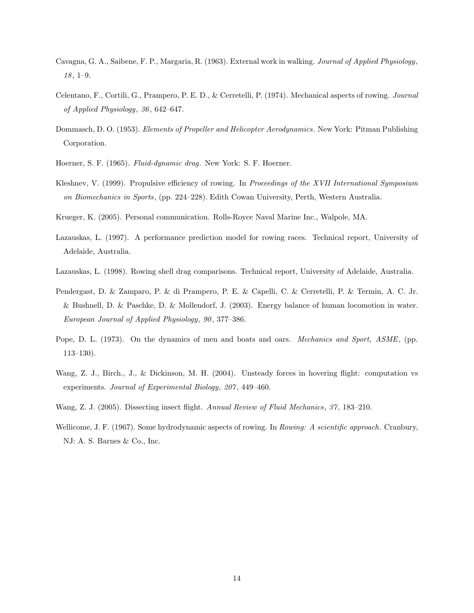- Cavagna, G. A., Saibene, F. P., Margaria, R. (1963). External work in walking. Journal of Applied Physiology, 18, 1–9.
- Celentano, F., Cortili, G., Prampero, P. E. D., & Cerretelli, P. (1974). Mechanical aspects of rowing. Journal of Applied Physiology, 36, 642–647.
- Dommasch, D. O. (1953). Elements of Propeller and Helicopter Aerodynamics. New York: Pitman Publishing Corporation.
- Hoerner, S. F. (1965). Fluid-dynamic drag. New York: S. F. Hoerner.
- Kleshnev, V. (1999). Propulsive efficiency of rowing. In Proceedings of the XVII International Symposium on Biomechanics in Sports, (pp. 224–228). Edith Cowan University, Perth, Western Australia.
- Krueger, K. (2005). Personal communication. Rolls-Royce Naval Marine Inc., Walpole, MA.
- Lazauskas, L. (1997). A performance prediction model for rowing races. Technical report, University of Adelaide, Australia.
- Lazauskas, L. (1998). Rowing shell drag comparisons. Technical report, University of Adelaide, Australia.
- Pendergast, D. & Zamparo, P. & di Prampero, P. E. & Capelli, C. & Cerretelli, P. & Termin, A. C. Jr. & Bushnell, D. & Paschke, D. & Mollendorf, J. (2003). Energy balance of human locomotion in water. European Journal of Applied Physiology, 90, 377–386.
- Pope, D. L. (1973). On the dynamics of men and boats and oars. *Mechanics and Sport, ASME*, (pp. 113–130).
- Wang, Z. J., Birch., J., & Dickinson, M. H. (2004). Unsteady forces in hovering flight: computation vs experiments. Journal of Experimental Biology, 207, 449–460.
- Wang, Z. J. (2005). Dissecting insect flight. Annual Review of Fluid Mechanics, 37, 183–210.
- Wellicome, J. F. (1967). Some hydrodynamic aspects of rowing. In Rowing: A scientific approach. Cranbury, NJ: A. S. Barnes & Co., Inc.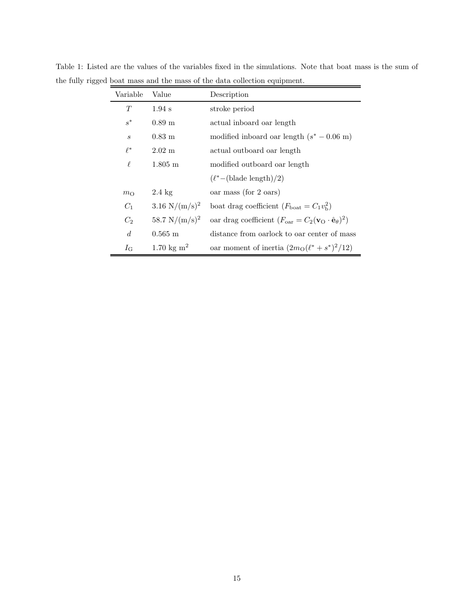| Variable         | Value                        | Description                                                                                 |  |  |
|------------------|------------------------------|---------------------------------------------------------------------------------------------|--|--|
| T                | $1.94$ s                     | stroke period                                                                               |  |  |
| $s^*$            | $0.89 \text{ m}$             | actual inboard oar length                                                                   |  |  |
| $\boldsymbol{s}$ | $0.83 \text{ m}$             | modified inboard oar length $(s^* - 0.06 \text{ m})$                                        |  |  |
| $\ell^*$         | $2.02 \text{ m}$             | actual outboard oar length                                                                  |  |  |
| ł.               | $1.805 \;{\rm m}$            | modified outboard oar length                                                                |  |  |
|                  |                              | $(\ell^*$ – (blade length)/2)                                                               |  |  |
| $m_{\Omega}$     | $2.4 \text{ kg}$             | oar mass (for 2 oars)                                                                       |  |  |
| $C_1$            | 3.16 $N/(m/s)^2$             | boat drag coefficient $(F_{\text{boat}} = C_1 v_{\text{b}}^2)$                              |  |  |
| $C_2$            | 58.7 N/ $(m/s)^2$            | oar drag coefficient $(F_{\text{oar}} = C_2(\mathbf{v}_O \cdot \hat{\mathbf{e}}_\theta)^2)$ |  |  |
| $\overline{d}$   | $0.565 \; \mathrm{m}$        | distance from oarlock to oar center of mass                                                 |  |  |
| $I_{\rm G}$      | $1.70 \text{ kg} \text{m}^2$ | oar moment of inertia $(2m_0(\ell^* + s^*)^2/12)$                                           |  |  |

Table 1: Listed are the values of the variables fixed in the simulations. Note that boat mass is the sum of the fully rigged boat mass and the mass of the data collection equipment.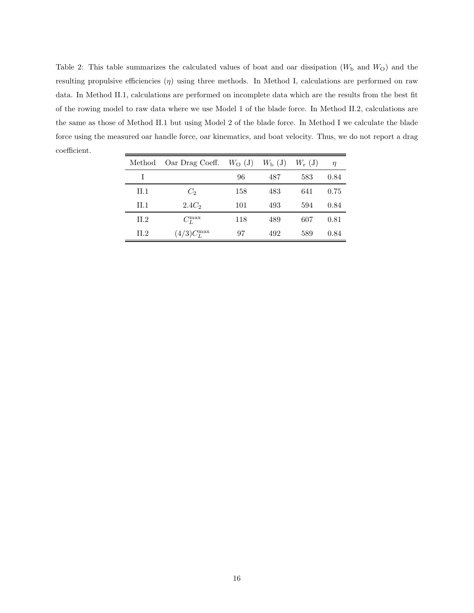Table 2: This table summarizes the calculated values of boat and oar dissipation  $(W<sub>b</sub>$  and  $W<sub>O</sub>)$  and the resulting propulsive efficiencies  $(\eta)$  using three methods. In Method I, calculations are performed on raw data. In Method II.1, calculations are performed on incomplete data which are the results from the best fit of the rowing model to raw data where we use Model 1 of the blade force. In Method II.2, calculations are the same as those of Method II.1 but using Model 2 of the blade force. In Method I we calculate the blade force using the measured oar handle force, oar kinematics, and boat velocity. Thus, we do not report a drag coefficient.

| Method  | Oar Drag Coeff. $W_O$ (J) |     | $W_{\rm b}$ (J) | $W_{\rm r}$ (J) | $\eta$ |
|---------|---------------------------|-----|-----------------|-----------------|--------|
| L       |                           | 96  | 487             | 583             | 0.84   |
| $\Pi.1$ | $C_2$                     | 158 | 483             | 641             | 0.75   |
| $\Pi.1$ | 2.4C <sub>2</sub>         | 101 | 493             | 594             | 0.84   |
| II.2    | $C_L^{\max}$              | 118 | 489             | 607             | 0.81   |
| II.2    | $(4/3)C_L^{\max}$         | 97  | 492             | 589             | 0.84   |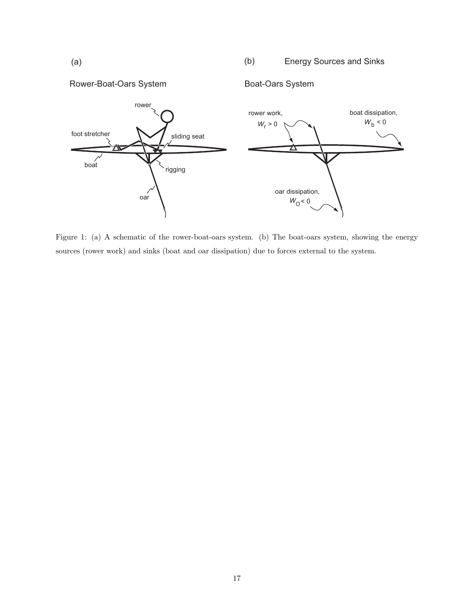Energy Sources and Sinks  $(a)$  (b)



Figure 1: (a) A schematic of the rower-boat-oars system. (b) The boat-oars system, showing the energy sources (rower work) and sinks (boat and oar dissipation) due to forces external to the system.

Rower-Boat-Oars System Boat-Oars System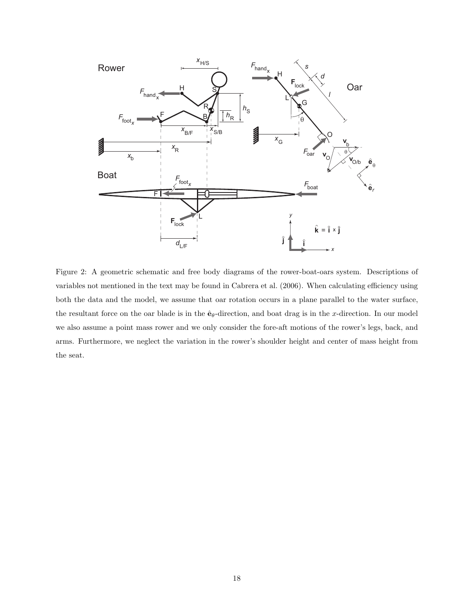

Figure 2: A geometric schematic and free body diagrams of the rower-boat-oars system. Descriptions of variables not mentioned in the text may be found in Cabrera et al. (2006). When calculating efficiency using both the data and the model, we assume that oar rotation occurs in a plane parallel to the water surface, the resultant force on the oar blade is in the  $\hat{\mathbf{e}}_{\theta}$ -direction, and boat drag is in the x-direction. In our model we also assume a point mass rower and we only consider the fore-aft motions of the rower's legs, back, and arms. Furthermore, we neglect the variation in the rower's shoulder height and center of mass height from the seat.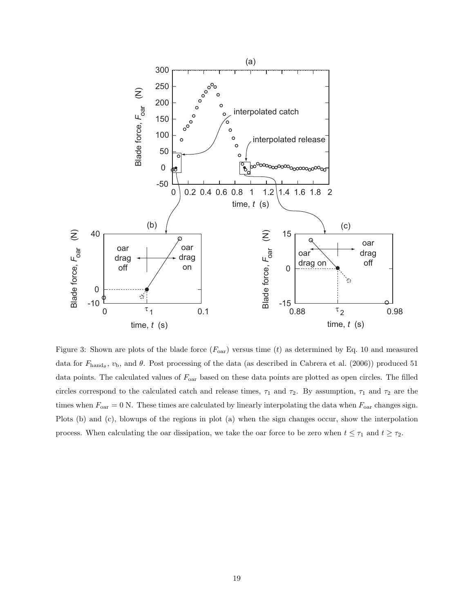

Figure 3: Shown are plots of the blade force  $(F_{\text{oar}})$  versus time (t) as determined by Eq. 10 and measured data for  $F_{\text{hand}_{\theta}}$ ,  $v_{\text{b}}$ , and  $\theta$ . Post processing of the data (as described in Cabrera et al. (2006)) produced 51 data points. The calculated values of  $F_{\text{oar}}$  based on these data points are plotted as open circles. The filled circles correspond to the calculated catch and release times,  $\tau_1$  and  $\tau_2$ . By assumption,  $\tau_1$  and  $\tau_2$  are the times when  $F_{\text{oar}} = 0$  N. These times are calculated by linearly interpolating the data when  $F_{\text{oar}}$  changes sign. Plots (b) and (c), blowups of the regions in plot (a) when the sign changes occur, show the interpolation process. When calculating the oar dissipation, we take the oar force to be zero when  $t \leq \tau_1$  and  $t \geq \tau_2$ .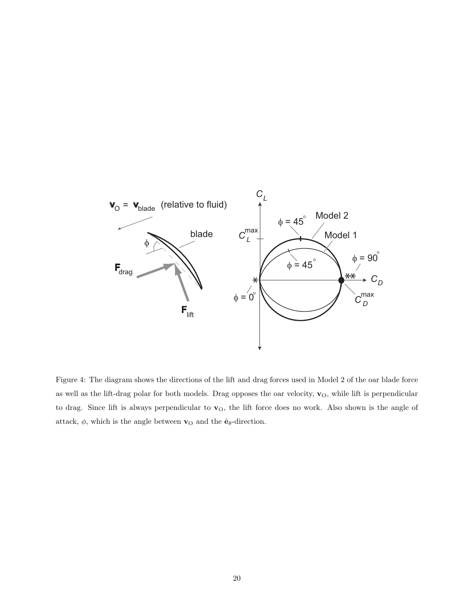

Figure 4: The diagram shows the directions of the lift and drag forces used in Model 2 of the oar blade force as well as the lift-drag polar for both models. Drag opposes the oar velocity,  $\mathbf{v}_0$ , while lift is perpendicular to drag. Since lift is always perpendicular to  $v<sub>O</sub>$ , the lift force does no work. Also shown is the angle of attack,  $\phi,$  which is the angle between  $\mathbf{v}_{\rm O}$  and the  $\hat{\mathbf{e}}_{\theta}\text{-direction.}$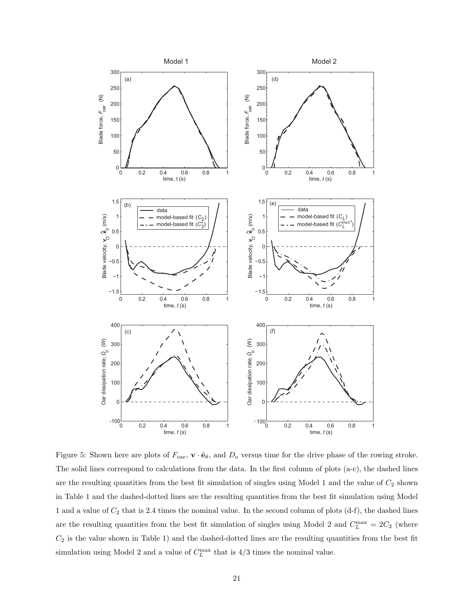

Figure 5: Shown here are plots of  $F_{\text{oar}}$ ,  $\mathbf{v} \cdot \hat{\mathbf{e}}_{\theta}$ , and  $D_o$  versus time for the drive phase of the rowing stroke. The solid lines correspond to calculations from the data. In the first column of plots (a-c), the dashed lines are the resulting quantities from the best fit simulation of singles using Model 1 and the value of  $C_2$  shown in Table 1 and the dashed-dotted lines are the resulting quantities from the best fit simulation using Model 1 and a value of  $C_2$  that is 2.4 times the nominal value. In the second column of plots  $(d-f)$ , the dashed lines are the resulting quantities from the best fit simulation of singles using Model 2 and  $C_L^{\max} = 2C_2$  (where  $C_2$  is the value shown in Table 1) and the dashed-dotted lines are the resulting quantities from the best fit simulation using Model 2 and a value of  $C_L^{\max}$  that is 4/3 times the nominal value.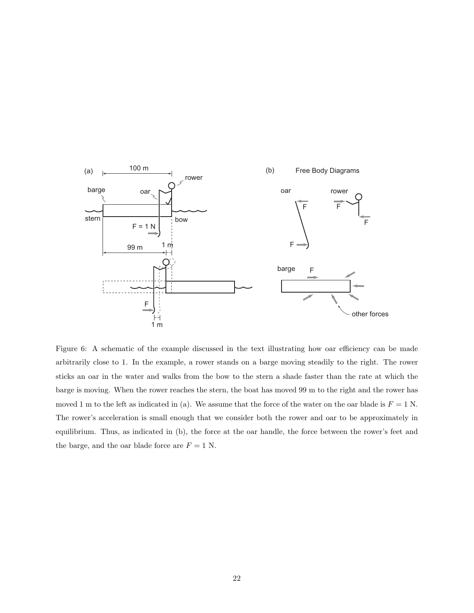

Figure 6: A schematic of the example discussed in the text illustrating how oar efficiency can be made arbitrarily close to 1. In the example, a rower stands on a barge moving steadily to the right. The rower sticks an oar in the water and walks from the bow to the stern a shade faster than the rate at which the barge is moving. When the rower reaches the stern, the boat has moved 99 m to the right and the rower has moved 1 m to the left as indicated in (a). We assume that the force of the water on the oar blade is  $F = 1$  N. The rower's acceleration is small enough that we consider both the rower and oar to be approximately in equilibrium. Thus, as indicated in (b), the force at the oar handle, the force between the rower's feet and the barge, and the oar blade force are  $F = 1$  N.